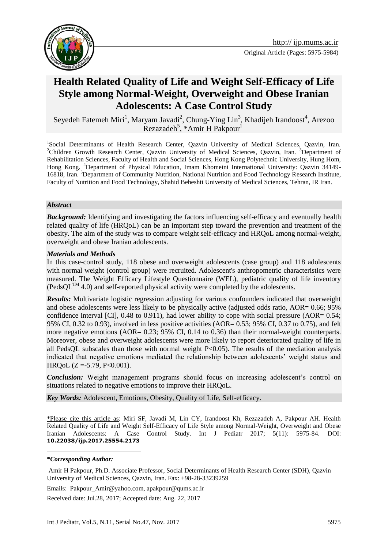

# **Health Related Quality of Life and Weight Self-Efficacy of Life Style among Normal-Weight, Overweight and Obese Iranian Adolescents: A Case Control Study**

Seyedeh Fatemeh Miri<sup>1</sup>, Maryam Javadi<sup>2</sup>, Chung-Ying Lin<sup>3</sup>, Khadijeh Irandoost<sup>4</sup>, Arezoo Rezazadeh<sup>5</sup>, \*Amir H Pakpour<sup>1</sup>

<sup>1</sup>Social Determinants of Health Research Center, Qazvin University of Medical Sciences, Qazvin, Iran. <sup>2</sup>Children Growth Research Center, Qazvin University of Medical Sciences, Qazvin, Iran. <sup>3</sup>Department of Rehabilitation Sciences, Faculty of Health and Social Sciences, Hong Kong Polytechnic University, Hung Hom, Hong Kong. <sup>4</sup>Department of Physical Education, Imam Khomeini International University: Qazvin 34149- 16818, Iran. <sup>5</sup>Department of Community Nutrition, National Nutrition and Food Technology Research Institute, Faculty of Nutrition and Food Technology, Shahid Beheshti University of Medical Sciences, Tehran, IR Iran.

#### *Abstract*

*Background:* Identifying and investigating the factors influencing self-efficacy and eventually health related quality of life (HRQoL) can be an important step toward the prevention and treatment of the obesity. The aim of the study was to compare weight self-efficacy and HRQoL among normal-weight, overweight and obese Iranian adolescents.

#### *Materials and Methods*

In this case-control study, 118 obese and overweight adolescents (case group) and 118 adolescents with normal weight (control group) were recruited. Adolescent's anthropometric characteristics were measured. The Weight Efficacy Lifestyle Questionnaire (WEL), pediatric quality of life inventory  $(PedsQL^{TM} 4.0)$  and self-reported physical activity were completed by the adolescents.

*Results:* Multivariate logistic regression adjusting for various confounders indicated that overweight and obese adolescents were less likely to be physically active (adjusted odds ratio, AOR= 0.66; 95% confidence interval [CI],  $0.48$  to  $0.911$ ), had lower ability to cope with social pressure (AOR=  $0.54$ ; 95% CI, 0.32 to 0.93), involved in less positive activities (AOR= 0.53; 95% CI, 0.37 to 0.75), and felt more negative emotions (AOR= 0.23; 95% CI, 0.14 to 0.36) than their normal-weight counterparts. Moreover, obese and overweight adolescents were more likely to report deteriorated quality of life in all PedsQL subscales than those with normal weight  $P<0.05$ ). The results of the mediation analysis indicated that negative emotions mediated the relationship between adolescents' weight status and HRQoL  $(Z = -5.79, P < 0.001)$ .

*Conclusion:* Weight management programs should focus on increasing adolescent's control on situations related to negative emotions to improve their HRQoL.

*Key Words:* Adolescent, Emotions, Obesity, Quality of Life, Self-efficacy.

\*Please cite this article as: Miri SF, Javadi M, Lin CY, Irandoost Kh, Rezazadeh A, Pakpour AH. Health Related Quality of Life and Weight Self-Efficacy of Life Style among Normal-Weight, Overweight and Obese Iranian Adolescents: A Case Control Study. Int J Pediatr 2017; 5(11): 5975-84. DOI: **10.22038/ijp.2017.25554.2173**

1

Emails: Pakpour\_Amir@yahoo.com, apakpour@qums.ac.ir

Received date: Jul.28, 2017; Accepted date: Aug. 22, 2017

**<sup>\*</sup>***Corresponding Author:*

Amir H Pakpour, Ph.D. Associate Professor, Social Determinants of Health Research Center (SDH), Qazvin University of Medical Sciences, Qazvin, Iran. Fax: +98-28-33239259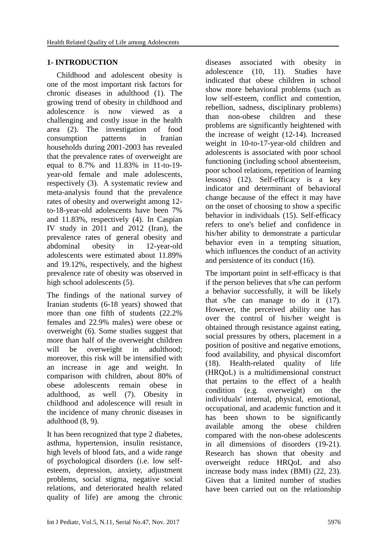# **1- INTRODUCTION**

 Childhood and adolescent obesity is one of the most important risk factors for chronic diseases in adulthood (1). The growing trend of obesity in childhood and adolescence is now viewed as a challenging and costly issue in the health area (2). The investigation of food consumption patterns in Iranian households during 2001-2003 has revealed that the prevalence rates of overweight are equal to 8.7% and 11.83% in 11-to-19 year-old female and male adolescents, respectively (3). A systematic review and meta-analysis found that the prevalence rates of obesity and overweight among 12 to-18-year-old adolescents have been 7% and 11.83%, respectively (4). In Caspian IV study in 2011 and 2012 (Iran), the prevalence rates of general obesity and abdominal obesity in 12-year-old adolescents were estimated about 11.89% and 19.12%, respectively, and the highest prevalence rate of obesity was observed in high school adolescents (5).

The findings of the national survey of Iranian students (6-18 years) showed that more than one fifth of students (22.2% females and 22.9% males) were obese or overweight (6). Some studies suggest that more than half of the overweight children will be overweight in adulthood: moreover, this risk will be intensified with an increase in age and weight. In comparison with children, about 80% of obese adolescents remain obese in adulthood, as well (7). Obesity in childhood and adolescence will result in the incidence of many chronic diseases in adulthood (8, 9).

It has been recognized that type 2 diabetes, asthma, hypertension, insulin resistance, high levels of blood fats, and a wide range of psychological disorders (i.e. low selfesteem, depression, anxiety, adjustment problems, social stigma, negative social relations, and deteriorated health related quality of life) are among the chronic

diseases associated with obesity in adolescence (10, 11). Studies have indicated that obese children in school show more behavioral problems (such as low self-esteem, conflict and contention, rebellion, sadness, disciplinary problems) than non-obese children and these problems are significantly heightened with the increase of weight (12-14). Increased weight in 10-to-17-year-old children and adolescents is associated with poor school functioning (including school absenteeism, poor school relations, repetition of learning lessons) (12). Self-efficacy is a key indicator and determinant of behavioral change because of the effect it may have on the onset of choosing to show a specific behavior in individuals (15). Self-efficacy refers to one's belief and confidence in his/her ability to demonstrate a particular behavior even in a tempting situation, which influences the conduct of an activity and persistence of its conduct (16).

The important point in self-efficacy is that if the person believes that s/he can perform a behavior successfully, it will be likely that s/he can manage to do it (17). However, the perceived ability one has over the control of his/her weight is obtained through resistance against eating, social pressures by others, placement in a position of positive and negative emotions, food availability, and physical discomfort (18). Health-related quality of life (HRQoL) is a multidimensional construct that pertains to the effect of a health condition (e.g. overweight) on the individuals' internal, physical, emotional, occupational, and academic function and it has been shown to be significantly available among the obese children compared with the non-obese adolescents in all dimensions of disorders (19-21). Research has shown that obesity and overweight reduce HRQoL and also increase body mass index  $(BMI)$  (22, 23). Given that a limited number of studies have been carried out on the relationship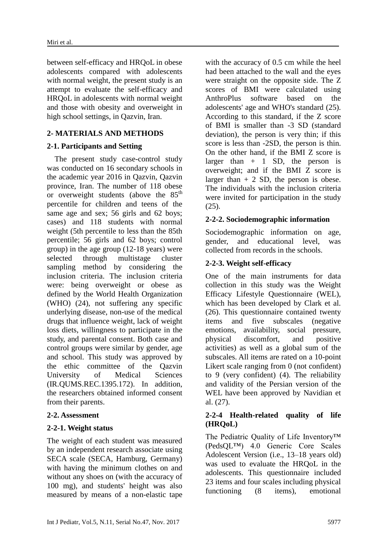between self-efficacy and HRQoL in obese adolescents compared with adolescents with normal weight, the present study is an attempt to evaluate the self-efficacy and HRQoL in adolescents with normal weight and those with obesity and overweight in high school settings, in Qazvin, Iran.

# **2- MATERIALS AND METHODS**

# **2-1. Participants and Setting**

 The present study case-control study was conducted on 16 secondary schools in the academic year 2016 in Qazvin, Qazvin province, Iran. The number of 118 obese or overweight students (above the 85<sup>th</sup>) percentile for children and teens of the same age and sex; 56 girls and 62 boys; cases) and 118 students with normal weight (5th percentile to less than the 85th percentile; 56 girls and 62 boys; control group) in the age group (12-18 years) were selected through multistage cluster sampling method by considering the inclusion criteria. The inclusion criteria were: being overweight or obese as defined by the World Health Organization (WHO) (24), not suffering any specific underlying disease, non-use of the medical drugs that influence weight, lack of weight loss diets, willingness to participate in the study, and parental consent. Both case and control groups were similar by gender, age and school. This study was approved by the ethic committee of the Qazvin University of Medical Sciences (IR.QUMS.REC.1395.172). In addition, the researchers obtained informed consent from their parents.

#### **2-2. Assessment**

#### **2-2-1. Weight status**

The weight of each student was measured by an independent research associate using SECA scale (SECA, Hamburg, Germany) with having the minimum clothes on and without any shoes on (with the accuracy of 100 mg), and students' height was also measured by means of a non-elastic tape with the accuracy of 0.5 cm while the heel had been attached to the wall and the eyes were straight on the opposite side. The Z scores of BMI were calculated using AnthroPlus software based on the adolescents' age and WHO's standard (25). According to this standard, if the Z score of BMI is smaller than -3 SD (standard deviation), the person is very thin; if this score is less than -2SD, the person is thin. On the other hand, if the BMI Z score is larger than  $+$  1 SD, the person is overweight; and if the BMI Z score is larger than  $+ 2$  SD, the person is obese. The individuals with the inclusion criteria were invited for participation in the study (25).

# **2-2-2. Sociodemographic information**

Sociodemographic information on age, gender, and educational level, was collected from records in the schools.

# **2-2-3. Weight self-efficacy**

One of the main instruments for data collection in this study was the Weight Efficacy Lifestyle Questionnaire (WEL), which has been developed by Clark et al. (26). This questionnaire contained twenty items and five subscales (negative emotions, availability, social pressure, physical discomfort, and positive activities) as well as a global sum of the subscales. All items are rated on a 10-point Likert scale ranging from 0 (not confident) to 9 (very confident) (4). The reliability and validity of the Persian version of the WEL have been approved by Navidian et al. (27).

# **2-2-4 Health-related quality of life (HRQoL)**

The Pediatric Quality of Life Inventory™ (PedsQL™) 4.0 Generic Core Scales Adolescent Version (i.e., 13–18 years old) was used to evaluate the HRQoL in the adolescents. This questionnaire included 23 items and four scales including physical functioning (8 items), emotional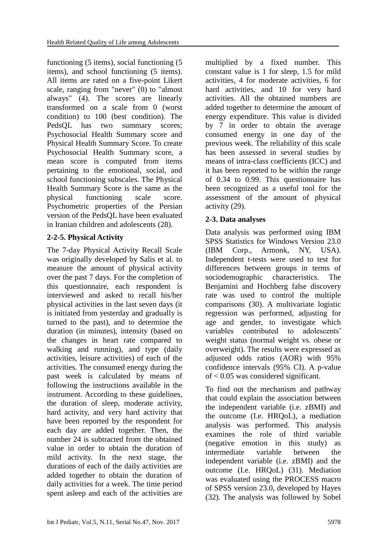functioning (5 items), social functioning (5 items), and school functioning (5 items). All items are rated on a five-point Likert scale, ranging from "never" (0) to "almost always" (4). The scores are linearly transformed on a scale from 0 (worst condition) to 100 (best condition). The PedsQL has two summary scores; Psychosocial Health Summary score and Physical Health Summary Score. To create Psychosocial Health Summary score, a mean score is computed from items pertaining to the emotional, social, and school functioning subscales. The Physical Health Summary Score is the same as the physical functioning scale score. Psychometric properties of the Persian version of the PedsQL have been evaluated in Iranian children and adolescents (28).

# **2-2-5. Physical Activity**

The 7-day Physical Activity Recall Scale was originally developed by Salis et al. to measure the amount of physical activity over the past 7 days. For the completion of this questionnaire, each respondent is interviewed and asked to recall his/her physical activities in the last seven days (it is initiated from yesterday and gradually is turned to the past), and to determine the duration (in minutes), intensity (based on the changes in heart rate compared to walking and running), and type (daily activities, leisure activities) of each of the activities. The consumed energy during the past week is calculated by means of following the instructions available in the instrument. According to these guidelines, the duration of sleep, moderate activity, hard activity, and very hard activity that have been reported by the respondent for each day are added together. Then, the number 24 is subtracted from the obtained value in order to obtain the duration of mild activity. In the next stage, the durations of each of the daily activities are added together to obtain the duration of daily activities for a week. The time period spent asleep and each of the activities are multiplied by a fixed number. This constant value is 1 for sleep, 1.5 for mild activities, 4 for moderate activities, 6 for hard activities, and 10 for very hard activities. All the obtained numbers are added together to determine the amount of energy expenditure. This value is divided by 7 in order to obtain the average consumed energy in one day of the previous week. The reliability of this scale has been assessed in several studies by means of intra-class coefficients (ICC) and it has been reported to be within the range of 0.34 to 0.99. This questionnaire has been recognized as a useful tool for the assessment of the amount of physical activity (29).

# **2-3. Data analyses**

Data analysis was performed using IBM SPSS Statistics for Windows Version 23.0 (IBM Corp., Armonk, NY, USA). Independent t-tests were used to test for differences between groups in terms of sociodemographic characteristics. The Benjamini and Hochberg false discovery rate was used to control the multiple comparisons (30). A multivariate logistic regression was performed, adjusting for age and gender, to investigate which variables contributed to adolescents' weight status (normal weight vs. obese or overweight). The results were expressed as adjusted odds ratios (AOR) with 95% confidence intervals (95% CI). A p-value of < 0.05 was considered significant.

To find out the mechanism and pathway that could explain the association between the independent variable (i.e. zBMI) and the outcome (I.e. HRQoL), a mediation analysis was performed. This analysis examines the role of third variable (negative emotion in this study) as intermediate variable between the independent variable (i.e. zBMI) and the outcome (I.e. HRQoL) (31). Mediation was evaluated using the PROCESS macro of SPSS version 23.0, developed by Hayes (32). The analysis was followed by Sobel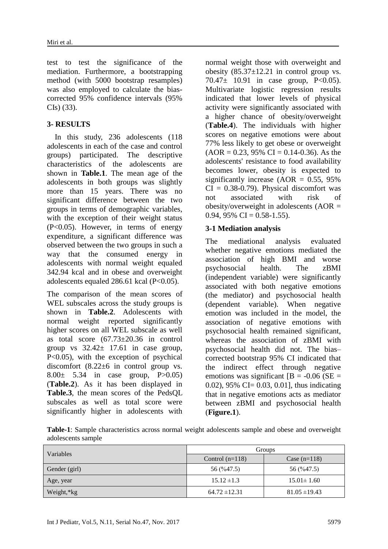test to test the significance of the mediation. Furthermore, a bootstrapping method (with 5000 bootstrap resamples) was also employed to calculate the biascorrected 95% confidence intervals (95% CIs) (33).

# **3- RESULTS**

 In this study, 236 adolescents (118 adolescents in each of the case and control groups) participated. The descriptive characteristics of the adolescents are shown in **Table.1**. The mean age of the adolescents in both groups was slightly more than 15 years. There was no significant difference between the two groups in terms of demographic variables, with the exception of their weight status (P<0.05). However, in terms of energy expenditure, a significant difference was observed between the two groups in such a way that the consumed energy in adolescents with normal weight equaled 342.94 kcal and in obese and overweight adolescents equaled 286.61 kcal (P<0.05).

The comparison of the mean scores of WEL subscales across the study groups is shown in **Table.2**. Adolescents with normal weight reported significantly higher scores on all WEL subscale as well as total score (67.73±20.36 in control group vs  $32.42 \pm 17.61$  in case group, P<0.05), with the exception of psychical discomfort  $(8.22\pm6)$  in control group vs.  $8.00 \pm 5.34$  in case group, P $> 0.05$ ) (**Table.2**). As it has been displayed in **Table.3**, the mean scores of the PedsQL subscales as well as total score were significantly higher in adolescents with

normal weight those with overweight and obesity  $(85.37 \pm 12.21$  in control group vs. 70.47 $\pm$  10.91 in case group, P<0.05). Multivariate logistic regression results indicated that lower levels of physical activity were significantly associated with a higher chance of obesity/overweight (**Table.4**). The individuals with higher scores on negative emotions were about 77% less likely to get obese or overweight  $(AOR = 0.23, 95\% \text{ CI} = 0.14-0.36)$ . As the adolescents' resistance to food availability becomes lower, obesity is expected to significantly increase  $(AOR = 0.55, 95\%)$  $CI = 0.38 - 0.79$ . Physical discomfort was not associated with risk of obesity/overweight in adolescents  $(AOR =$ 0.94, 95% CI = 0.58-1.55).

#### **3-1 Mediation analysis**

The mediational analysis evaluated whether negative emotions mediated the association of high BMI and worse psychosocial health. The zBMI (independent variable) were significantly associated with both negative emotions (the mediator) and psychosocial health (dependent variable). When negative emotion was included in the model, the association of negative emotions with psychosocial health remained significant, whereas the association of zBMI with psychosocial health did not. The bias– corrected bootstrap 95% CI indicated that the indirect effect through negative emotions was significant  $[B = -0.06$  (SE = 0.02), 95% CI= 0.03, 0.01], thus indicating that in negative emotions acts as mediator between zBMI and psychosocial health (**Figure.1**).

**Table-1**: Sample characteristics across normal weight adolescents sample and obese and overweight adolescents sample

| Variables     | Groups            |                   |  |
|---------------|-------------------|-------------------|--|
|               | Control $(n=118)$ | Case $(n=118)$    |  |
| Gender (girl) | 56 (%47.5)        | 56 (%47.5)        |  |
| Age, year     | $15.12 \pm 1.3$   | $15.01 \pm 1.60$  |  |
| Weight,*kg    | $64.72 \pm 12.31$ | $81.05 \pm 19.43$ |  |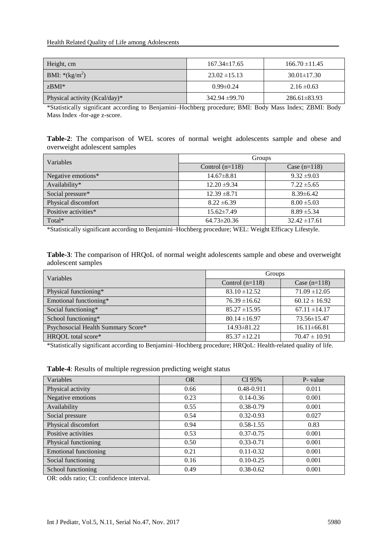| Height, cm                    | $167.34 \pm 17.65$ | $166.70 \pm 11.45$ |
|-------------------------------|--------------------|--------------------|
| <b>BMI:</b> *( $kg/m^2$ )     | $23.02 \pm 15.13$  | $30.01 \pm 17.30$  |
| zBMI*                         | $0.99 \pm 0.24$    | $2.16 \pm 0.63$    |
| Physical activity (Kcal/day)* | $342.94 \pm 99.70$ | $286.61 \pm 83.93$ |

\*Statistically significant according to Benjamini–Hochberg procedure; BMI: Body Mass Index; ZBMI: Body Mass Index -for-age z-score.

**Table-2**: The comparison of WEL scores of normal weight adolescents sample and obese and overweight adolescent samples

| Variables            | Groups            |                   |  |
|----------------------|-------------------|-------------------|--|
|                      | Control $(n=118)$ | Case $(n=118)$    |  |
| Negative emotions*   | $14.67 \pm 8.81$  | $9.32 \pm 9.03$   |  |
| Availability*        | $12.20 \pm 9.34$  | $7.22 \pm 5.65$   |  |
| Social pressure*     | $12.39 \pm 8.71$  | $8.39 \pm 6.42$   |  |
| Physical discomfort  | $8.22 \pm 6.39$   | $8.00 \pm 5.03$   |  |
| Positive activities* | $15.62 \pm 7.49$  | $8.89 \pm 5.34$   |  |
| Total*               | $64.73 \pm 20.36$ | $32.42 \pm 17.61$ |  |

\*Statistically significant according to Benjamini–Hochberg procedure; WEL: Weight Efficacy Lifestyle.

**Table-3**: The comparison of HRQoL of normal weight adolescents sample and obese and overweight adolescent samples

| Variables                          | Groups            |                   |
|------------------------------------|-------------------|-------------------|
|                                    | Control $(n=118)$ | Case $(n=118)$    |
| Physical functioning*              | $83.10 \pm 12.52$ | $71.09 \pm 12.05$ |
| Emotional functioning*             | $76.39 \pm 16.62$ | $60.12 \pm 16.92$ |
| Social functioning*                | $85.27 \pm 15.95$ | $67.11 \pm 14.17$ |
| School functioning*                | $80.14 \pm 16.97$ | $73.56 \pm 15.47$ |
| Psychosocial Health Summary Score* | $14.93 \pm 81.22$ | $16.11 \pm 66.81$ |
| HRQOL total score*                 | $85.37 \pm 12.21$ | $70.47 \pm 10.91$ |

\*Statistically significant according to Benjamini–Hochberg procedure; HRQoL: Health-related quality of life.

|  |  | Table-4: Results of multiple regression predicting weight status |
|--|--|------------------------------------------------------------------|
|--|--|------------------------------------------------------------------|

| Variables                    | <b>OR</b> | CI 95%        | P- value |
|------------------------------|-----------|---------------|----------|
| Physical activity            | 0.66      | 0.48-0.911    | 0.011    |
| Negative emotions            | 0.23      | $0.14 - 0.36$ | 0.001    |
| Availability                 | 0.55      | $0.38 - 0.79$ | 0.001    |
| Social pressure              | 0.54      | $0.32 - 0.93$ | 0.027    |
| Physical discomfort          | 0.94      | $0.58 - 1.55$ | 0.83     |
| Positive activities          | 0.53      | $0.37 - 0.75$ | 0.001    |
| Physical functioning         | 0.50      | $0.33 - 0.71$ | 0.001    |
| <b>Emotional functioning</b> | 0.21      | $0.11 - 0.32$ | 0.001    |
| Social functioning           | 0.16      | $0.10 - 0.25$ | 0.001    |
| School functioning           | 0.49      | $0.38 - 0.62$ | 0.001    |

OR: odds ratio; CI: confidence interval.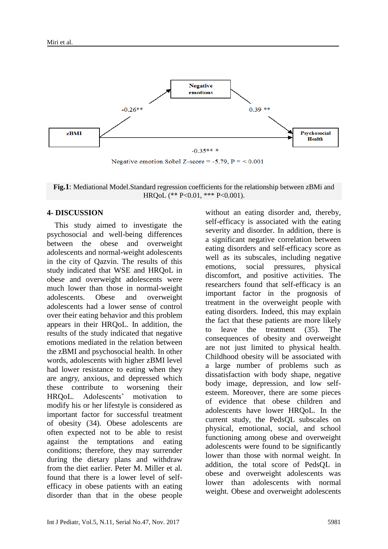

**Fig.1**: Mediational Model.Standard regression coefficients for the relationship between zBMi and HRQoL (\*\* P<0.01, \*\*\* P<0.001).

#### **4- DISCUSSION**

 This study aimed to investigate the psychosocial and well-being differences between the obese and overweight adolescents and normal-weight adolescents in the city of Qazvin. The results of this study indicated that WSE and HRQoL in obese and overweight adolescents were much lower than those in normal-weight adolescents. Obese and overweight adolescents had a lower sense of control over their eating behavior and this problem appears in their HRQoL. In addition, the results of the study indicated that negative emotions mediated in the relation between the zBMI and psychosocial health. In other words, adolescents with higher zBMI level had lower resistance to eating when they are angry, anxious, and depressed which these contribute to worsening their HRQoL. Adolescents' motivation to modify his or her lifestyle is considered as important factor for successful treatment of obesity (34). Obese adolescents are often expected not to be able to resist against the temptations and eating conditions; therefore, they may surrender during the dietary plans and withdraw from the diet earlier. Peter M. Miller et al. found that there is a lower level of selfefficacy in obese patients with an eating disorder than that in the obese people

without an eating disorder and, thereby, self-efficacy is associated with the eating severity and disorder. In addition, there is a significant negative correlation between eating disorders and self-efficacy score as well as its subscales, including negative emotions, social pressures, physical discomfort, and positive activities. The researchers found that self-efficacy is an important factor in the prognosis of treatment in the overweight people with eating disorders. Indeed, this may explain the fact that these patients are more likely to leave the treatment (35). The consequences of obesity and overweight are not just limited to physical health. Childhood obesity will be associated with a large number of problems such as dissatisfaction with body shape, negative body image, depression, and low selfesteem. Moreover, there are some pieces of evidence that obese children and adolescents have lower HRQoL. In the current study, the PedsQL subscales on physical, emotional, social, and school functioning among obese and overweight adolescents were found to be significantly lower than those with normal weight. In addition, the total score of PedsQL in obese and overweight adolescents was lower than adolescents with normal weight. Obese and overweight adolescents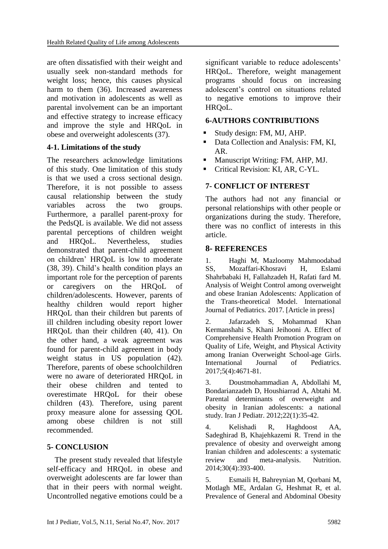are often dissatisfied with their weight and usually seek non-standard methods for weight loss; hence, this causes physical harm to them (36). Increased awareness and motivation in adolescents as well as parental involvement can be an important and effective strategy to increase efficacy and improve the style and HRQoL in obese and overweight adolescents (37).

# **4-1. Limitations of the study**

The researchers acknowledge limitations of this study. One limitation of this study is that we used a cross sectional design. Therefore, it is not possible to assess causal relationship between the study variables across the two groups. Furthermore, a parallel parent-proxy for the PedsQL is available. We did not assess parental perceptions of children weight and HRQoL. Nevertheless, studies demonstrated that parent-child agreement on children' HRQoL is low to moderate (38, 39). Child's health condition plays an important role for the perception of parents or caregivers on the HRQoL of children/adolescents. However, parents of healthy children would report higher HRQoL than their children but parents of ill children including obesity report lower HRQoL than their children (40, 41). On the other hand, a weak agreement was found for parent-child agreement in body weight status in US population (42). Therefore, parents of obese schoolchildren were no aware of deteriorated HRQoL in their obese children and tented to overestimate HRQoL for their obese children (43). Therefore, using parent proxy measure alone for assessing QOL among obese children is not still recommended.

#### **5- CONCLUSION**

 The present study revealed that lifestyle self-efficacy and HRQoL in obese and overweight adolescents are far lower than that in their peers with normal weight. Uncontrolled negative emotions could be a significant variable to reduce adolescents' HRQoL. Therefore, weight management programs should focus on increasing adolescent's control on situations related to negative emotions to improve their HRQoL.

### **6-AUTHORS CONTRIBUTIONS**

- Study design: FM, MJ, AHP.
- Data Collection and Analysis: FM, KI, AR.
- **Manuscript Writing: FM, AHP, MJ.**
- Critical Revision: KI, AR, C-YL.

# **7- CONFLICT OF INTEREST**

The authors had not any financial or personal relationships with other people or organizations during the study. Therefore, there was no conflict of interests in this article.

# **8- REFERENCES**

1. Haghi M, Mazloomy Mahmoodabad SS, Mozaffari-Khosravi H, Eslami Shahrbabaki H, Fallahzadeh H, Rafati fard M. Analysis of Weight Control among overweight and obese Iranian Adolescents: Application of the Trans-theoretical Model. International Journal of Pediatrics. 2017. [Article in press]

2. Jafarzadeh S, Mohammad Khan Kermanshahi S, Khani Jeihooni A. Effect of Comprehensive Health Promotion Program on Quality of Life, Weight, and Physical Activity among Iranian Overweight School-age Girls. International Journal of Pediatrics. 2017;5(4):4671-81.

3. Doustmohammadian A, Abdollahi M, Bondarianzadeh D, Houshiarrad A, Abtahi M. Parental determinants of overweight and obesity in Iranian adolescents: a national study. Iran J Pediatr. 2012;22(1):35-42.

4. Kelishadi R, Haghdoost AA, Sadeghirad B, Khajehkazemi R. Trend in the prevalence of obesity and overweight among Iranian children and adolescents: a systematic review and meta-analysis. Nutrition. 2014;30(4):393-400.

5. Esmaili H, Bahreynian M, Qorbani M, Motlagh ME, Ardalan G, Heshmat R, et al. Prevalence of General and Abdominal Obesity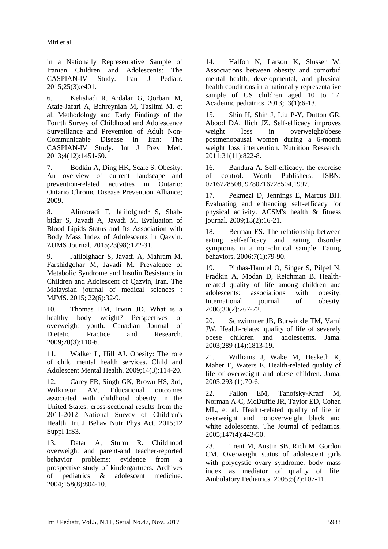in a Nationally Representative Sample of Iranian Children and Adolescents: The CASPIAN-IV Study. Iran J Pediatr. 2015;25(3):e401.

6. Kelishadi R, Ardalan G, Qorbani M, Ataie-Jafari A, Bahreynian M, Taslimi M, et al. Methodology and Early Findings of the Fourth Survey of Childhood and Adolescence Surveillance and Prevention of Adult Non-Communicable Disease in Iran: The CASPIAN-IV Study. Int J Prev Med. 2013;4(12):1451-60.

7. Bodkin A, Ding HK, Scale S. Obesity: An overview of current landscape and prevention-related activities in Ontario: Ontario Chronic Disease Prevention Alliance; 2009.

8. Alimoradi F, Jalilolghadr S, Shabbidar S, Javadi A, Javadi M. Evaluation of Blood Lipids Status and Its Association with Body Mass Index of Adolescents in Qazvin. ZUMS Journal. 2015;23(98):122-31.

9. Jalilolghadr S, Javadi A, Mahram M, Farshidgohar M, Javadi M. Prevalence of Metabolic Syndrome and Insulin Resistance in Children and Adolescent of Qazvin, Iran. The Malaysian journal of medical sciences : MJMS. 2015; 22(6):32-9.

10. Thomas HM, Irwin JD. What is a healthy body weight? Perspectives of overweight youth. Canadian Journal of Dietetic Practice and Research. 2009;70(3):110-6.

11. Walker L, Hill AJ. Obesity: The role of child mental health services. Child and Adolescent Mental Health. 2009;14(3):114-20.

12. Carey FR, Singh GK, Brown HS, 3rd, Wilkinson AV. Educational outcomes associated with childhood obesity in the United States: cross-sectional results from the 2011-2012 National Survey of Children's Health. Int J Behav Nutr Phys Act. 2015;12 Suppl 1:S3.

13. Datar A, Sturm R. Childhood overweight and parent-and teacher-reported behavior problems: evidence from a prospective study of kindergartners. Archives of pediatrics & adolescent medicine. 2004;158(8):804-10.

14. Halfon N, Larson K, Slusser W. Associations between obesity and comorbid mental health, developmental, and physical health conditions in a nationally representative sample of US children aged 10 to 17. Academic pediatrics. 2013;13(1):6-13.

15. Shin H, Shin J, Liu P-Y, Dutton GR, Abood DA, Ilich JZ. Self-efficacy improves weight loss in overweight/obese postmenopausal women during a 6-month weight loss intervention. Nutrition Research. 2011;31(11):822-8.

16. Bandura A. Self-efficacy: the exercise of control. Worth Publishers. ISBN: 0716728508, 9780716728504,1997.

17. Pekmezi D, Jennings E, Marcus BH. Evaluating and enhancing self-efficacy for physical activity. ACSM's health & fitness journal. 2009;13(2):16-21.

18. Berman ES. The relationship between eating self-efficacy and eating disorder symptoms in a non-clinical sample. Eating behaviors. 2006;7(1):79-90.

19. Pinhas-Hamiel O, Singer S, Pilpel N, Fradkin A, Modan D, Reichman B. Healthrelated quality of life among children and adolescents: associations with obesity. International journal of obesity. 2006;30(2):267-72.

20. Schwimmer JB, Burwinkle TM, Varni JW. Health-related quality of life of severely obese children and adolescents. Jama. 2003;289 (14):1813-19.

21. Williams J, Wake M, Hesketh K, Maher E, Waters E. Health-related quality of life of overweight and obese children. Jama. 2005;293 (1):70-6.

22. Fallon EM, Tanofsky-Kraff M, Norman A-C, McDuffie JR, Taylor ED, Cohen ML, et al. Health-related quality of life in overweight and nonoverweight black and white adolescents. The Journal of pediatrics. 2005;147(4):443-50.

23. Trent M, Austin SB, Rich M, Gordon CM. Overweight status of adolescent girls with polycystic ovary syndrome: body mass index as mediator of quality of life. Ambulatory Pediatrics. 2005;5(2):107-11.